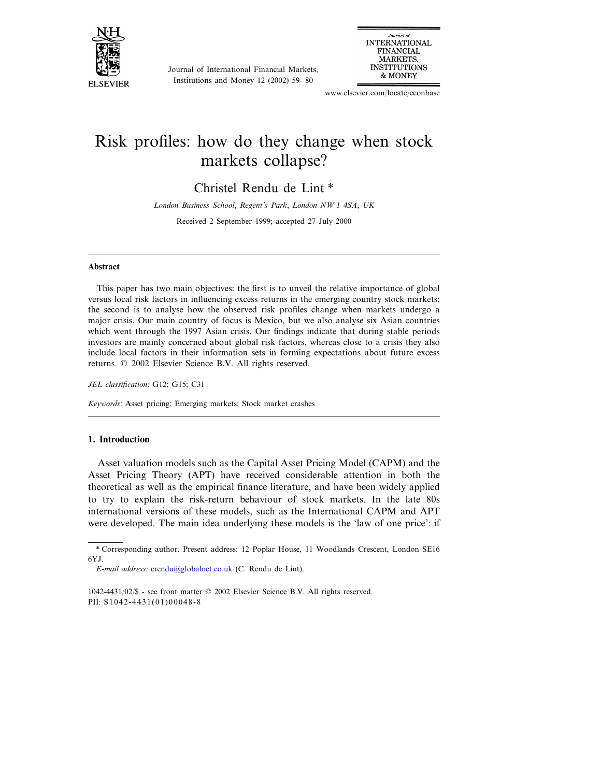

Journal of International Financial Markets, Institutions and Money 12 (2002) 59–80



www.elsevier.com/locate/econbase

## Risk profiles: how do they change when stock markets collapse?

Christel Rendu de Lint \*

*London Business School*, *Regent*'*s Park*, *London NW* 1 <sup>4</sup>*SA*, *UK*

Received 2 September 1999; accepted 27 July 2000

## **Abstract**

This paper has two main objectives: the first is to unveil the relative importance of global versus local risk factors in influencing excess returns in the emerging country stock markets; the second is to analyse how the observed risk profiles change when markets undergo a major crisis. Our main country of focus is Mexico, but we also analyse six Asian countries which went through the 1997 Asian crisis. Our findings indicate that during stable periods investors are mainly concerned about global risk factors, whereas close to a crisis they also include local factors in their information sets in forming expectations about future excess returns. © 2002 Elsevier Science B.V. All rights reserved.

*JEL classification*: G12; G15; C31

*Keywords*: Asset pricing; Emerging markets; Stock market crashes

## **1. Introduction**

Asset valuation models such as the Capital Asset Pricing Model (CAPM) and the Asset Pricing Theory (APT) have received considerable attention in both the theoretical as well as the empirical finance literature, and have been widely applied to try to explain the risk-return behaviour of stock markets. In the late 80s international versions of these models, such as the International CAPM and APT were developed. The main idea underlying these models is the 'law of one price': if

<sup>\*</sup> Corresponding author. Present address: 12 Poplar House, 11 Woodlands Crescent, London SE16 6YJ.

*E*-*mail address*: [crendu@globalnet.co.uk](mailto:crendu@globalnet.co.uk) (C. Rendu de Lint).

<sup>1042-4431</sup>/02/\$ - see front matter © 2002 Elsevier Science B.V. All rights reserved. PII: S 1 0 4 2 - 4 4 3 1 ( 0 1 ) 0 0 0 4 8 - 8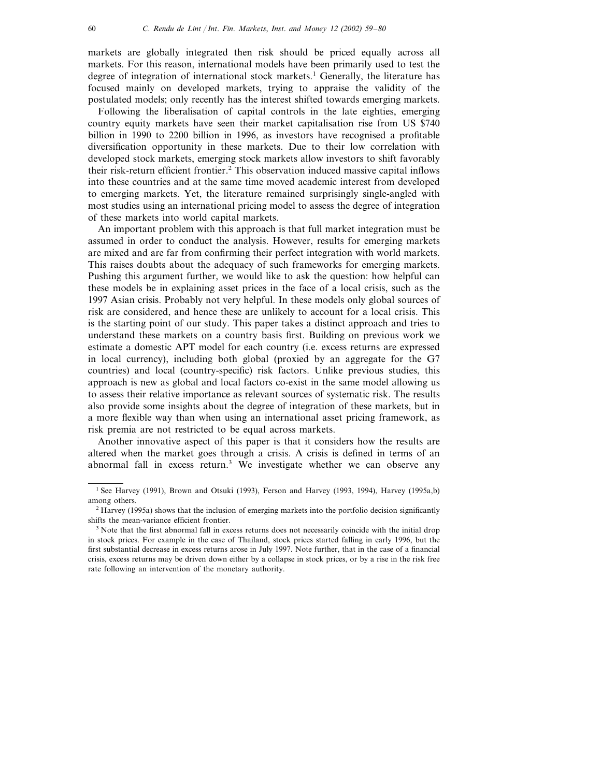markets are globally integrated then risk should be priced equally across all markets. For this reason, international models have been primarily used to test the degree of integration of international stock markets.<sup>1</sup> Generally, the literature has focused mainly on developed markets, trying to appraise the validity of the postulated models; only recently has the interest shifted towards emerging markets.

Following the liberalisation of capital controls in the late eighties, emerging country equity markets have seen their market capitalisation rise from US \$740 billion in 1990 to 2200 billion in 1996, as investors have recognised a profitable diversification opportunity in these markets. Due to their low correlation with developed stock markets, emerging stock markets allow investors to shift favorably their risk-return efficient frontier.<sup>2</sup> This observation induced massive capital inflows into these countries and at the same time moved academic interest from developed to emerging markets. Yet, the literature remained surprisingly single-angled with most studies using an international pricing model to assess the degree of integration of these markets into world capital markets.

An important problem with this approach is that full market integration must be assumed in order to conduct the analysis. However, results for emerging markets are mixed and are far from confirming their perfect integration with world markets. This raises doubts about the adequacy of such frameworks for emerging markets. Pushing this argument further, we would like to ask the question: how helpful can these models be in explaining asset prices in the face of a local crisis, such as the 1997 Asian crisis. Probably not very helpful. In these models only global sources of risk are considered, and hence these are unlikely to account for a local crisis. This is the starting point of our study. This paper takes a distinct approach and tries to understand these markets on a country basis first. Building on previous work we estimate a domestic APT model for each country (i.e. excess returns are expressed in local currency), including both global (proxied by an aggregate for the G7 countries) and local (country-specific) risk factors. Unlike previous studies, this approach is new as global and local factors co-exist in the same model allowing us to assess their relative importance as relevant sources of systematic risk. The results also provide some insights about the degree of integration of these markets, but in a more flexible way than when using an international asset pricing framework, as risk premia are not restricted to be equal across markets.

Another innovative aspect of this paper is that it considers how the results are altered when the market goes through a crisis. A crisis is defined in terms of an abnormal fall in excess return.3 We investigate whether we can observe any

<sup>&</sup>lt;sup>1</sup> See Harvey (1991), Brown and Otsuki (1993), Ferson and Harvey (1993, 1994), Harvey (1995a,b) among others.

<sup>2</sup> Harvey (1995a) shows that the inclusion of emerging markets into the portfolio decision significantly shifts the mean-variance efficient frontier.

<sup>&</sup>lt;sup>3</sup> Note that the first abnormal fall in excess returns does not necessarily coincide with the initial drop in stock prices. For example in the case of Thailand, stock prices started falling in early 1996, but the first substantial decrease in excess returns arose in July 1997. Note further, that in the case of a financial crisis, excess returns may be driven down either by a collapse in stock prices, or by a rise in the risk free rate following an intervention of the monetary authority.